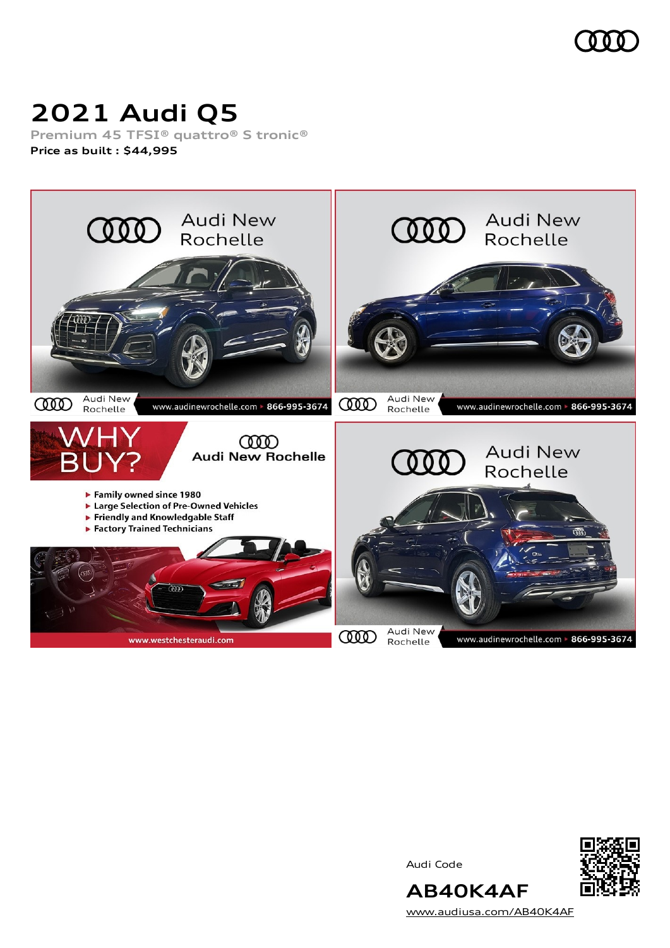

# **2021 Audi Q5**

**Premium 45 TFSI® quattro® S tronic® Price as built [:](#page-10-0) \$44,995**



Audi Code



**AB40K4AF** [www.audiusa.com/AB40K4AF](https://www.audiusa.com/AB40K4AF)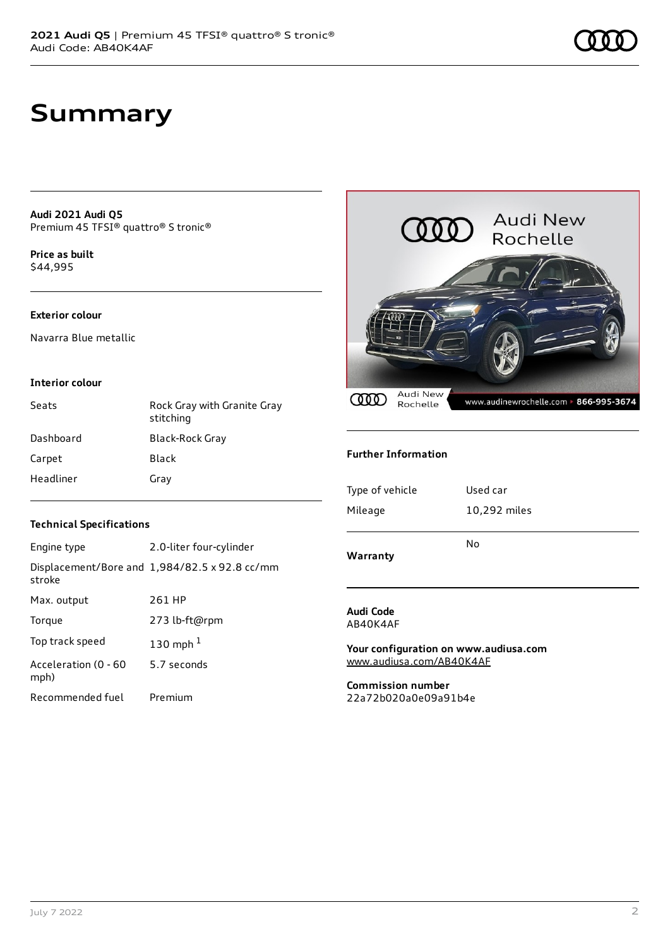# **Summary**

**Audi 2021 Audi Q5** Premium 45 TFSI® quattro® S tronic®

**Price as buil[t](#page-10-0)** \$44,995

#### **Exterior colour**

Navarra Blue metallic

#### **Interior colour**

| Seats     | Rock Gray with Granite Gray<br>stitching |
|-----------|------------------------------------------|
| Dashboard | Black-Rock Gray                          |
| Carpet    | Black                                    |
| Headliner | Gray                                     |



#### **Further Information**

| Type of vehicle | Used car     |
|-----------------|--------------|
| Mileage         | 10,292 miles |
|                 | No           |
| Warranty        |              |

#### **Technical Specifications**

| Engine type                  | 2.0-liter four-cylinder                       |
|------------------------------|-----------------------------------------------|
| stroke                       | Displacement/Bore and 1,984/82.5 x 92.8 cc/mm |
| Max. output                  | 261 HP                                        |
| Torque                       | 273 lb-ft@rpm                                 |
| Top track speed              | 130 mph $1$                                   |
| Acceleration (0 - 60<br>mph) | 5.7 seconds                                   |
| Recommended fuel             | Premium                                       |

#### **Audi Code** AB40K4AF

**Your configuration on www.audiusa.com** [www.audiusa.com/AB40K4AF](https://www.audiusa.com/AB40K4AF)

**Commission number** 22a72b020a0e09a91b4e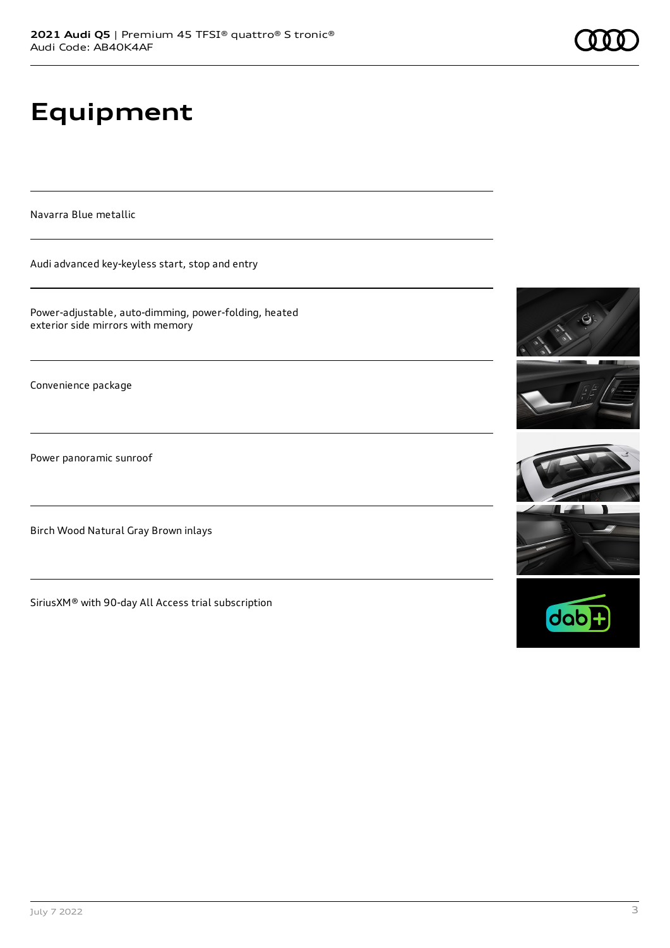# **Equipment**

Navarra Blue metallic

Audi advanced key-keyless start, stop and entry

Power-adjustable, auto-dimming, power-folding, heated exterior side mirrors with memory

Convenience package

Power panoramic sunroof

Birch Wood Natural Gray Brown inlays

SiriusXM® with 90-day All Access trial subscription







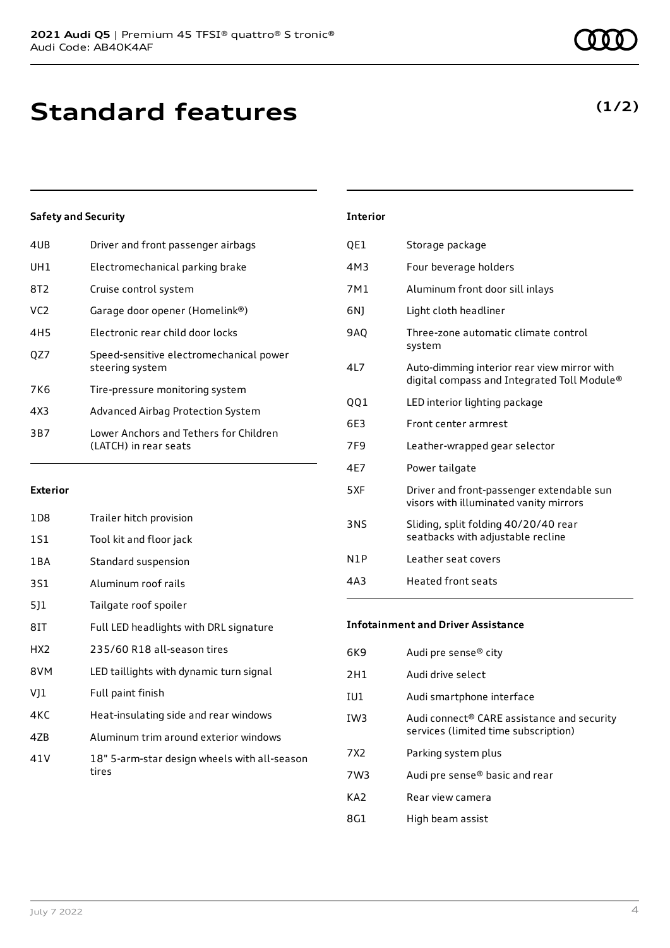| 4UB             | Driver and front passenger airbags                              |
|-----------------|-----------------------------------------------------------------|
| UH1             | Electromechanical parking brake                                 |
| 8T2             | Cruise control system                                           |
| VC <sub>2</sub> | Garage door opener (Homelink®)                                  |
| 4H5             | Electronic rear child door locks                                |
| OZ7             | Speed-sensitive electromechanical power<br>steering system      |
| 7K6             | Tire-pressure monitoring system                                 |
| 4X3             | Advanced Airbag Protection System                               |
| 3B7             | Lower Anchors and Tethers for Children<br>(LATCH) in rear seats |
|                 |                                                                 |

#### **Exterior**

| 1 D 8           | Trailer hitch provision                               |
|-----------------|-------------------------------------------------------|
| 1S1             | Tool kit and floor jack                               |
| 1 B A           | Standard suspension                                   |
| 3S1             | Aluminum roof rails                                   |
| 511             | Tailgate roof spoiler                                 |
| 8IT             | Full LED headlights with DRL signature                |
| HX <sub>2</sub> | 235/60 R18 all-season tires                           |
| 8VM             | LED taillights with dynamic turn signal               |
| VJ1             | Full paint finish                                     |
| 4KC             | Heat-insulating side and rear windows                 |
| 4ZB             | Aluminum trim around exterior windows                 |
| 41 V            | 18" 5-arm-star design wheels with all-season<br>tires |

### 4M3 Four beverage holders 7M1 Aluminum front door sill inlays 6NJ Light cloth headliner 9AQ Three-zone automatic climate control system 4L7 Auto-dimming interior rear view mirror with digital compass and Integrated Toll Module® QQ1 LED interior lighting package 6E3 Front center armrest 7F9 Leather-wrapped gear selector 4E7 Power tailgate 5XF Driver and front-passenger extendable sun visors with illuminated vanity mirrors 3NS Sliding, split folding 40/20/40 rear seatbacks with adjustable recline N1P Leather seat covers

**Interior**

QE1 Storage package

#### **Infotainment and Driver Assistance**

4A3 Heated front seats

| 6K9             | Audi pre sense® city                                                                           |
|-----------------|------------------------------------------------------------------------------------------------|
| 2H1             | Audi drive select                                                                              |
| IU1             | Audi smartphone interface                                                                      |
| IW <sub>3</sub> | Audi connect <sup>®</sup> CARE assistance and security<br>services (limited time subscription) |
| 7X2             | Parking system plus                                                                            |
| 7W3             | Audi pre sense® basic and rear                                                                 |
| KA <sub>2</sub> | Rear view camera                                                                               |
| 8G1             | High beam assist                                                                               |
|                 |                                                                                                |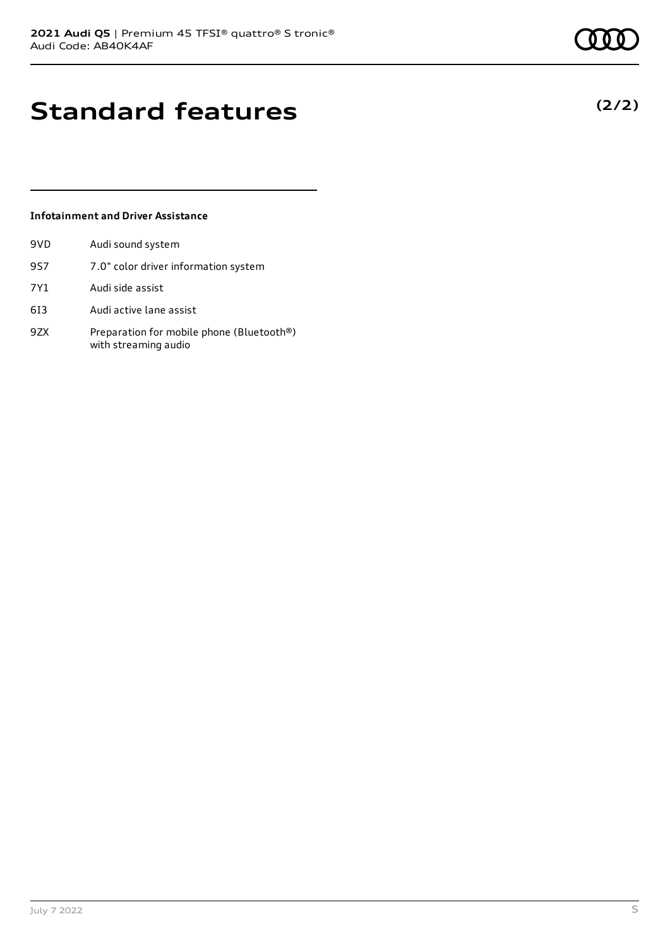**(2/2)**

# **Standard features**

#### **Infotainment and Driver Assistance**

| 9VD | Audi sound system                                                 |
|-----|-------------------------------------------------------------------|
| 9S7 | 7.0" color driver information system                              |
| 7Y1 | Audi side assist                                                  |
| 613 | Audi active lane assist                                           |
| 9ZX | Preparation for mobile phone (Bluetooth®)<br>with streaming audio |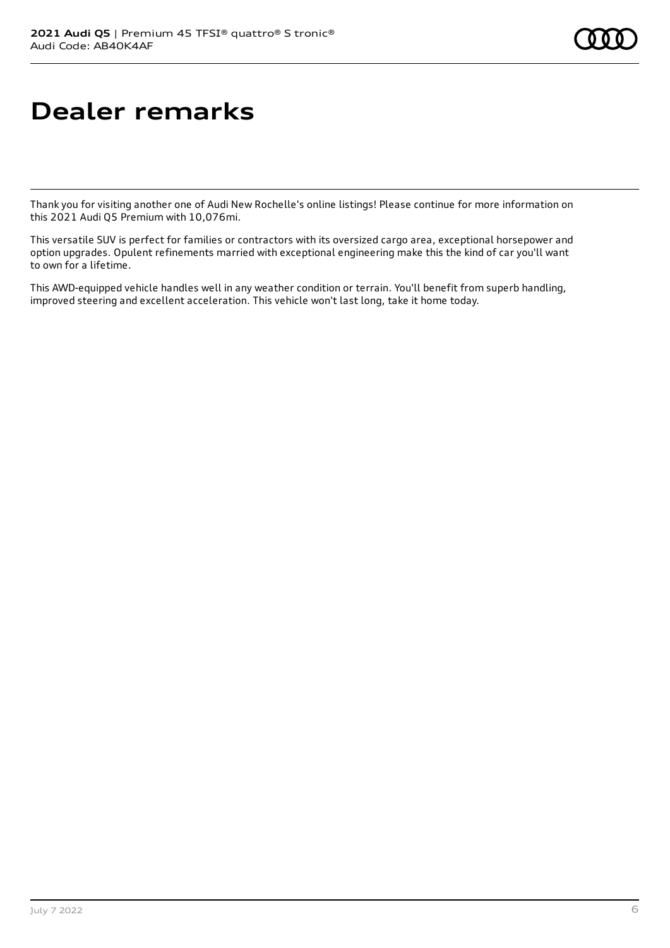# **Dealer remarks**

Thank you for visiting another one of Audi New Rochelle's online listings! Please continue for more information on this 2021 Audi Q5 Premium with 10,076mi.

This versatile SUV is perfect for families or contractors with its oversized cargo area, exceptional horsepower and option upgrades. Opulent refinements married with exceptional engineering make this the kind of car you'll want to own for a lifetime.

This AWD-equipped vehicle handles well in any weather condition or terrain. You'll benefit from superb handling, improved steering and excellent acceleration. This vehicle won't last long, take it home today.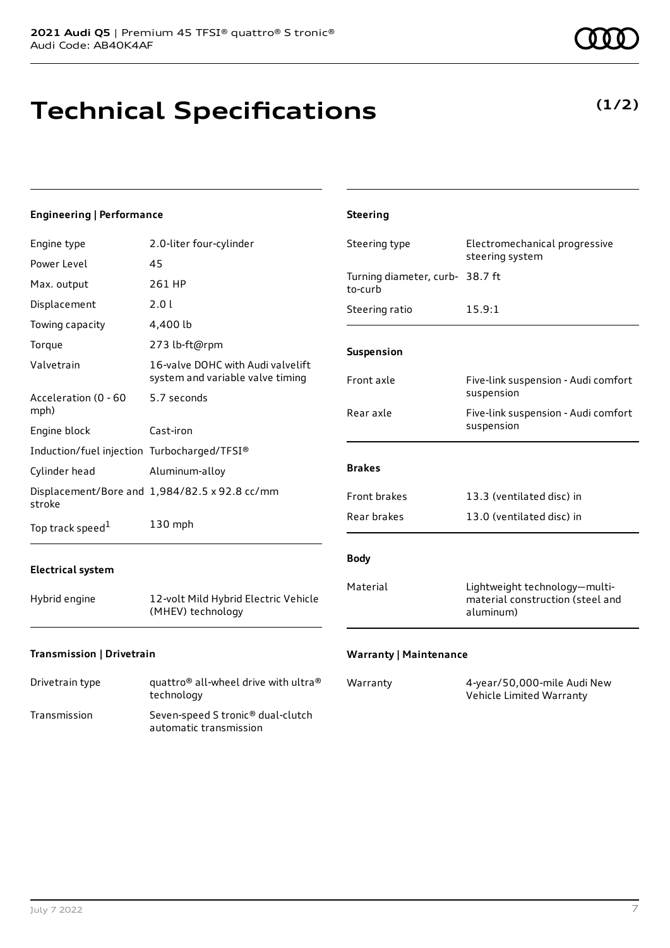# **Technical Specifications**

**(1/2)**

| <b>Engineering   Performance</b>                             |                                                                                        | <b>Steering</b>                            |                                                                                |
|--------------------------------------------------------------|----------------------------------------------------------------------------------------|--------------------------------------------|--------------------------------------------------------------------------------|
| Engine type<br>Power Level                                   | 2.0-liter four-cylinder<br>45                                                          | Steering type                              | Electromechanical progressive<br>steering system                               |
| Max. output                                                  | 261 HP                                                                                 | Turning diameter, curb- 38.7 ft<br>to-curb |                                                                                |
| Displacement<br>Towing capacity                              | 2.01<br>4,400 lb                                                                       | Steering ratio                             | 15.9:1                                                                         |
| Torque<br>Valvetrain                                         | 273 lb-ft@rpm<br>16-valve DOHC with Audi valvelift<br>system and variable valve timing | Suspension<br>Front axle                   | Five-link suspension - Audi comfort                                            |
| Acceleration (0 - 60<br>mph)<br>Engine block                 | 5.7 seconds<br>Cast-iron                                                               | Rear axle                                  | suspension<br>Five-link suspension - Audi comfort<br>suspension                |
| Induction/fuel injection Turbocharged/TFSI®<br>Cylinder head | Aluminum-alloy                                                                         | <b>Brakes</b>                              |                                                                                |
| stroke<br>Top track speed <sup>1</sup>                       | Displacement/Bore and 1,984/82.5 x 92.8 cc/mm<br>130 mph                               | Front brakes<br>Rear brakes                | 13.3 (ventilated disc) in<br>13.0 (ventilated disc) in                         |
| <b>Electrical system</b><br>Hybrid engine                    | 12-volt Mild Hybrid Electric Vehicle<br>(MHEV) technology                              | <b>Body</b><br>Material                    | Lightweight technology-multi-<br>material construction (steel and<br>aluminum) |
| Transmission   Drivetrain                                    |                                                                                        | <b>Warranty   Maintenance</b>              |                                                                                |

| Drivetrain type | quattro <sup>®</sup> all-wheel drive with ultra <sup>®</sup><br>technology |
|-----------------|----------------------------------------------------------------------------|
| Transmission    | Seven-speed S tronic <sup>®</sup> dual-clutch<br>automatic transmission    |

| Warranty | 4-year/50,000-mile Audi New |
|----------|-----------------------------|
|          | Vehicle Limited Warranty    |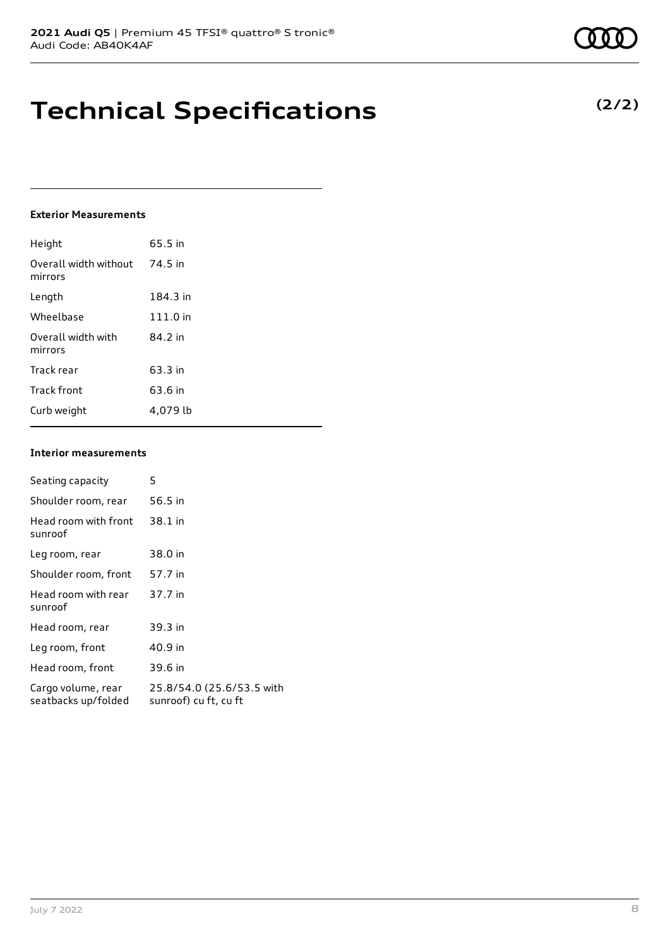# **Technical Specifications**

#### **Exterior Measurements**

| Height                           | 65.5 in  |
|----------------------------------|----------|
| Overall width without<br>mirrors | 74.5 in  |
| Length                           | 184.3 in |
| Wheelbase                        | 111.0 in |
| Overall width with<br>mirrors    | 84.2 in  |
| Track rear                       | 63.3 in  |
| Track front                      | 63.6 in  |
| Curb weight                      | 4.079 lb |

#### **Interior measurements**

| Seating capacity                          | 5                                                  |
|-------------------------------------------|----------------------------------------------------|
| Shoulder room, rear                       | 56.5 in                                            |
| Head room with front<br>sunroof           | 38.1 in                                            |
| Leg room, rear                            | 38.0 in                                            |
| Shoulder room, front                      | 57.7 in                                            |
| Head room with rear<br>sunroof            | 37.7 in                                            |
| Head room, rear                           | 39.3 in                                            |
| Leg room, front                           | 40.9 in                                            |
| Head room, front                          | 39.6 in                                            |
| Cargo volume, rear<br>seatbacks up/folded | 25.8/54.0 (25.6/53.5 with<br>sunroof) cu ft, cu ft |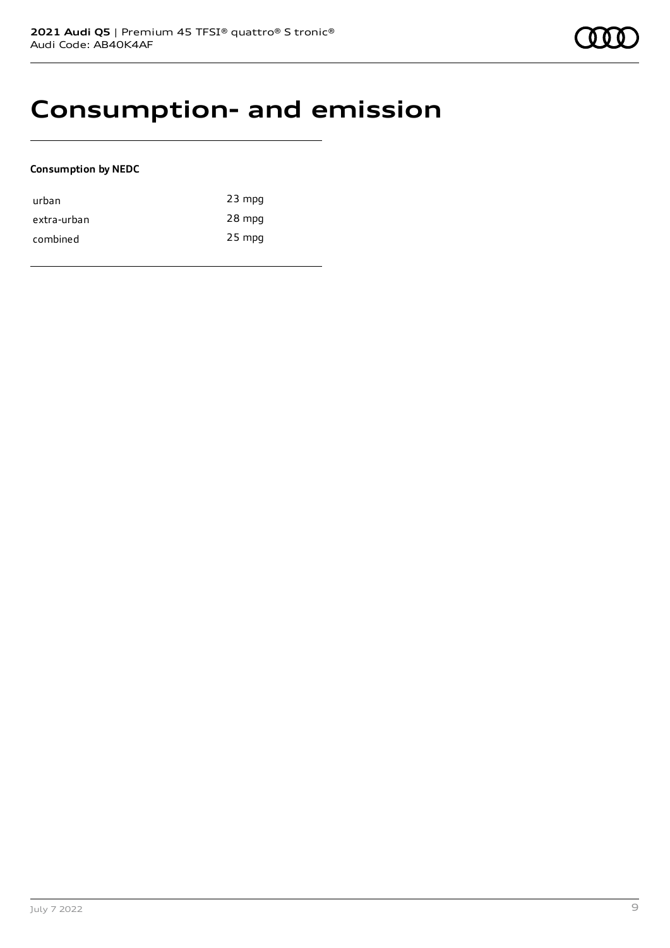### **Consumption- and emission**

#### **Consumption by NEDC**

| urban       | $23$ mpg |
|-------------|----------|
| extra-urban | 28 mpg   |
| combined    | $25$ mpg |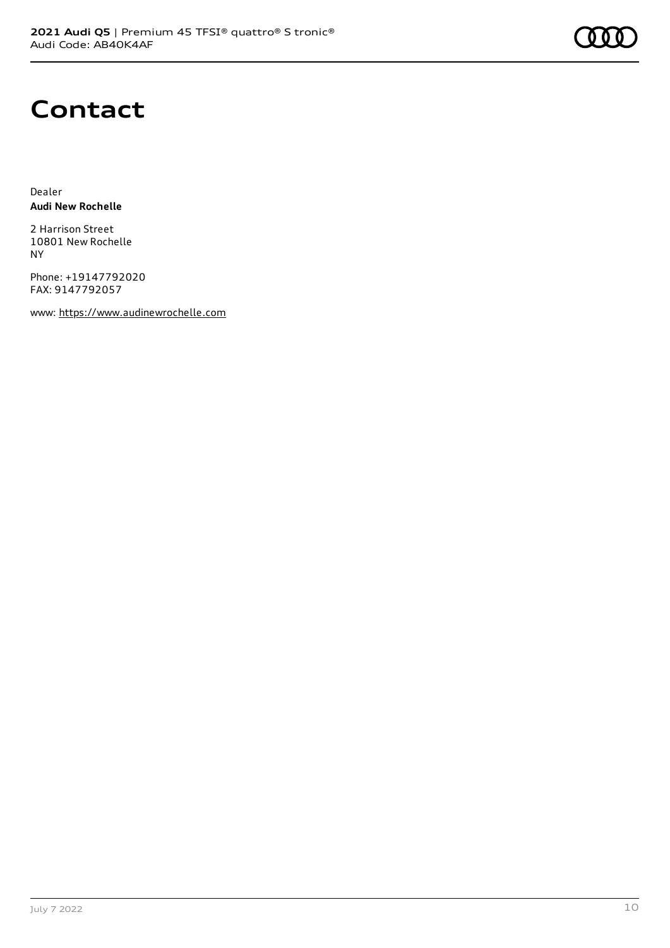

### **Contact**

Dealer **Audi New Rochelle**

2 Harrison Street 10801 New Rochelle NY

Phone: +19147792020 FAX: 9147792057

www: [https://www.audinewrochelle.com](https://www.audinewrochelle.com/)